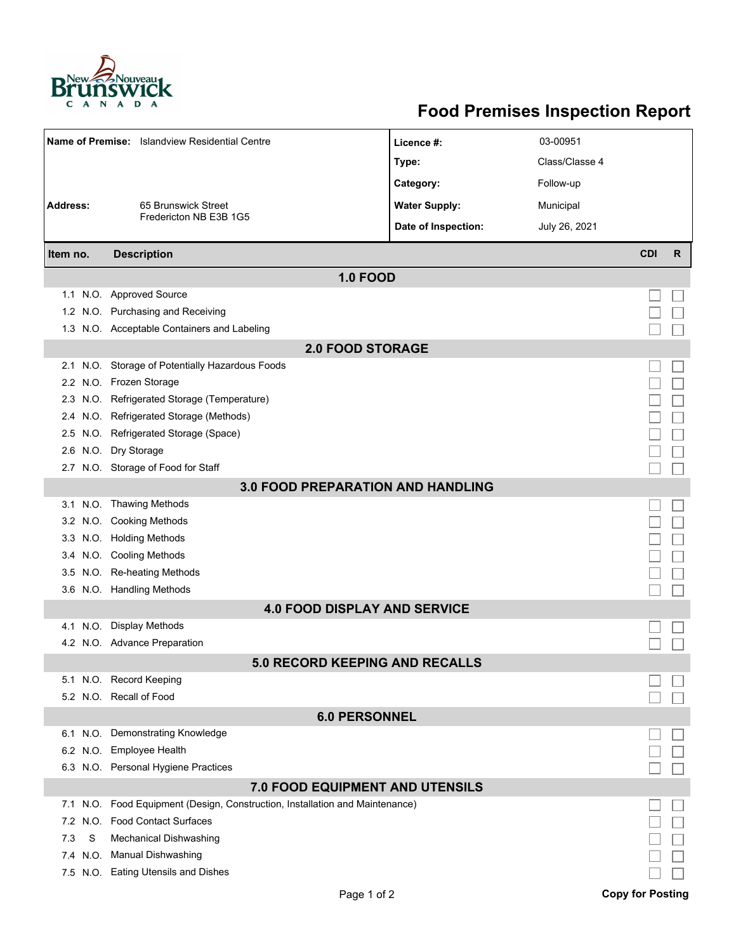

## **Food Premises Inspection Report**

|                                          | Name of Premise: Islandview Residential Centre                           | Licence #:           | 03-00951       |            |   |  |  |  |  |
|------------------------------------------|--------------------------------------------------------------------------|----------------------|----------------|------------|---|--|--|--|--|
|                                          |                                                                          | Type:                | Class/Classe 4 |            |   |  |  |  |  |
|                                          |                                                                          | Category:            | Follow-up      |            |   |  |  |  |  |
| <b>Address:</b>                          | 65 Brunswick Street                                                      | <b>Water Supply:</b> | Municipal      |            |   |  |  |  |  |
|                                          | Fredericton NB E3B 1G5                                                   |                      |                |            |   |  |  |  |  |
|                                          |                                                                          | Date of Inspection:  | July 26, 2021  |            |   |  |  |  |  |
| Item no.                                 | <b>Description</b>                                                       |                      |                | <b>CDI</b> | R |  |  |  |  |
| <b>1.0 FOOD</b>                          |                                                                          |                      |                |            |   |  |  |  |  |
|                                          | 1.1 N.O. Approved Source                                                 |                      |                |            |   |  |  |  |  |
|                                          | 1.2 N.O. Purchasing and Receiving                                        |                      |                |            |   |  |  |  |  |
|                                          | 1.3 N.O. Acceptable Containers and Labeling                              |                      |                |            |   |  |  |  |  |
| <b>2.0 FOOD STORAGE</b>                  |                                                                          |                      |                |            |   |  |  |  |  |
| 2.1                                      | N.O. Storage of Potentially Hazardous Foods                              |                      |                |            |   |  |  |  |  |
|                                          | 2.2 N.O. Frozen Storage                                                  |                      |                |            |   |  |  |  |  |
| 2.3                                      | N.O. Refrigerated Storage (Temperature)                                  |                      |                |            |   |  |  |  |  |
|                                          | 2.4 N.O. Refrigerated Storage (Methods)                                  |                      |                |            |   |  |  |  |  |
|                                          | 2.5 N.O. Refrigerated Storage (Space)                                    |                      |                |            |   |  |  |  |  |
|                                          | 2.6 N.O. Dry Storage                                                     |                      |                |            |   |  |  |  |  |
|                                          | 2.7 N.O. Storage of Food for Staff                                       |                      |                |            |   |  |  |  |  |
| <b>3.0 FOOD PREPARATION AND HANDLING</b> |                                                                          |                      |                |            |   |  |  |  |  |
|                                          | 3.1 N.O. Thawing Methods                                                 |                      |                |            |   |  |  |  |  |
|                                          | 3.2 N.O. Cooking Methods                                                 |                      |                |            |   |  |  |  |  |
|                                          | 3.3 N.O. Holding Methods                                                 |                      |                |            |   |  |  |  |  |
|                                          | 3.4 N.O. Cooling Methods                                                 |                      |                |            |   |  |  |  |  |
| 3.5                                      | N.O. Re-heating Methods                                                  |                      |                |            |   |  |  |  |  |
|                                          | 3.6 N.O. Handling Methods                                                |                      |                |            |   |  |  |  |  |
| <b>4.0 FOOD DISPLAY AND SERVICE</b>      |                                                                          |                      |                |            |   |  |  |  |  |
| 4.1 N.O.                                 | <b>Display Methods</b>                                                   |                      |                |            |   |  |  |  |  |
|                                          | 4.2 N.O. Advance Preparation                                             |                      |                |            |   |  |  |  |  |
|                                          | <b>5.0 RECORD KEEPING AND RECALLS</b>                                    |                      |                |            |   |  |  |  |  |
|                                          | 5.1 N.O. Record Keeping                                                  |                      |                |            |   |  |  |  |  |
|                                          | 5.2 N.O. Recall of Food                                                  |                      |                |            |   |  |  |  |  |
| <b>6.0 PERSONNEL</b>                     |                                                                          |                      |                |            |   |  |  |  |  |
|                                          | 6.1 N.O. Demonstrating Knowledge                                         |                      |                |            |   |  |  |  |  |
|                                          | 6.2 N.O. Employee Health                                                 |                      |                |            |   |  |  |  |  |
|                                          | 6.3 N.O. Personal Hygiene Practices                                      |                      |                |            |   |  |  |  |  |
| <b>7.0 FOOD EQUIPMENT AND UTENSILS</b>   |                                                                          |                      |                |            |   |  |  |  |  |
| 7.1                                      | N.O. Food Equipment (Design, Construction, Installation and Maintenance) |                      |                |            |   |  |  |  |  |
| N.O.<br>7.2                              | <b>Food Contact Surfaces</b>                                             |                      |                |            |   |  |  |  |  |
| S<br>7.3                                 | <b>Mechanical Dishwashing</b>                                            |                      |                |            |   |  |  |  |  |
| 7.4                                      | N.O. Manual Dishwashing                                                  |                      |                |            |   |  |  |  |  |
|                                          | 7.5 N.O. Eating Utensils and Dishes                                      |                      |                |            |   |  |  |  |  |